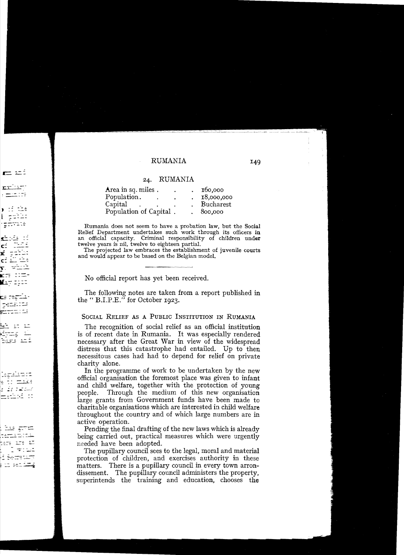## RUMANIA 149

## 24. RUMANIA

| Area in sq. miles.     | ٠ | 160,000          |
|------------------------|---|------------------|
| Population.            |   | 18,000,000       |
| Capital                |   | <b>Bucharest</b> |
| Population of Capital. |   | 800,000          |

Rumania does not seem to have a probation law, but the Social Relief Department undertakes such work through its officers in an official capacity. Criminal responsibility of children under twelve years is nil, twelve to eighteen partiaL

The projected law embraces the establishment of juvenile courts and would appear to be based on the Belgian model.

No official report has yet been received.

The following notes are taken from a report published in the " B.I.P.E." for October 1923.

## SOCIAL RELIEF AS A PUBLIC INSTITUTION IN RUMANIA

The recognition of social relief as an official institution is of recent date in Rumania. It was especially rendered necessary after the Great War in view of the widespread distress that this catastrophe had entailed. Up to then necessitous cases had had to depend for relief on private charity alone.

In the programme of work to be undertaken by the new official organisation the foremost place was given to infant and child welfare, together with the protection of young people. Through the medium of this new organisation large grants from Government funds have been made to charitable organisations which are interested in child welfare throughout the country and of which large numbers are in active operation.

Pending the final drafting of the new laws which is already being carried out, practical measures which were urgently needed have been adopted.

The pupillary council sees to the legal, moral and material protection of children, and exercises authority in these matters. There is a pupillary council in every town arrondissement. The pupillary council administers the property, superintends the training and education, chooses the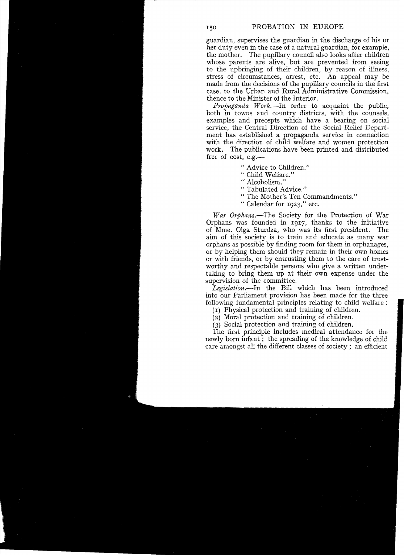guardian, supervises the guardian in the discharge of his or her duty even in the case of a natural guardian, for example, the mother. The pupillary council also looks after children whose parents are alive, but are prevented from seeing to the upbringing of their children, by reason of illness, stress of circumstances, arrest, etc. An appeal may be made from the decisions of the pupillary councils in the first case, to the Urban and Rural Administrative Commission, thence to the Minister of the Interior.

*Propaganda* Work.~In order to acquaint the public, both in towns and country districts, with the counsels, examples and precepts which have a bearing on social service, the Central Direction of the Social Relief Department has established a propaganda service in connection with the direction of child welfare and women protection work. The publications have been printed and distributed free of cost, e.g.

- " Advice to Children."
- " Child Welfare."
- " Alcoholism."
- " Tabulated Advice."
- "The Mother's Ten Commandments."
- " Calendar for 1923:' etc.

*War Orphans.-The* Society for the Protection of War Orphans was founded in 1917, thanks to the initiative of Mme. Olga Sturdza, who was its first president. The aim of this society is to train and educate as many war orphans as possible by finding room for them in orphanages, or by helping them should they remain in their own homes or with friends, or by entrusting them to the care of trustworthy and respectable persons who give a written undertaking to bring them up at their own expense under the supervision of the committee.

*Legislation.-In* the Bill which has been introduced into our Parliament provision has been made for the three following fundamental principles relating to child welfare:

(I) Physical protection and training of children.

(2) Moral protection and training of children.

(3) Social protection and training of children.

The first principle includes medical atiendance for the newly born infant; the spreading of the knowledge of child care amongst all the different classes of society; an efficient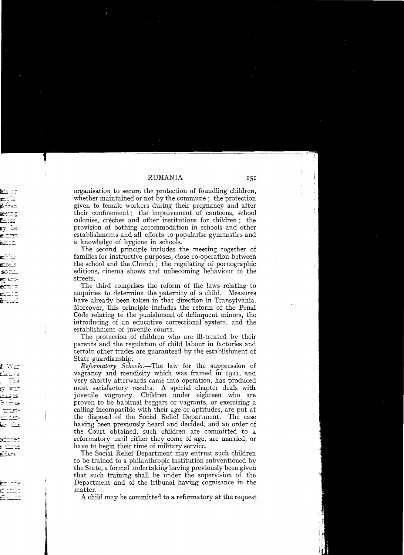organisation to secure the protection of foundling children, whether maintained or not by the commune; the protection given to female workers during their pregnancy and after their confinement; the improvement of canteens, school colonies, crèches and other institutions for children; the provision of bathing accommodation in schools and other establishments and all efforts to popularise gymnastics and a knowledge of hygiene in schools.

The second principle includes the meeting together of families for instructive purposes, close co-operation between the school and the Church; the regulating of pornographic editions, cinema shows and unbecoming behaviour in the streets

The third comprises the reform of the laws relating to enquiries to determine the paternity of a child. Measures have already been taken in that direction in Transylvania. 'Moreover, this principle includes the reform of the Penal Code relating to the punishment of delinquent minors, the introducing of an educative correctional system, and the establishment of juvenile courts.

The protection of children who are ill-treated by their parents and the regulation of child labour in factories and certain other trades are guaranteed by the establishment of State guardianship.

*Reformatory Schools.-The* law for the suppression of vagrancy and mendicity which was framed in 1921, and very shortly afterwards came into operation, has produced most satisfactory results. A special chapter deals with juvenile vagrancy. Children under eighteen who are proven to be habitual beggars or vagrants, or exercising a calling incompatible with their age or aptitudes, are put at the disposal of the Social Relief Department. The case having been previously heard and decided, and an order of the Court obtained, such children are committed to a reformatory until either they come of age, are married, or have to begin their time of military service.

The Social Relief Department may entrust such children to be trained to a philanthropic institution subventioned by the State, a formal undertaking having previously been given that such training shall be under the supervision of the Department and of the tribunal having cognisance in the matter.

A child may be committed to a reformatory at the request